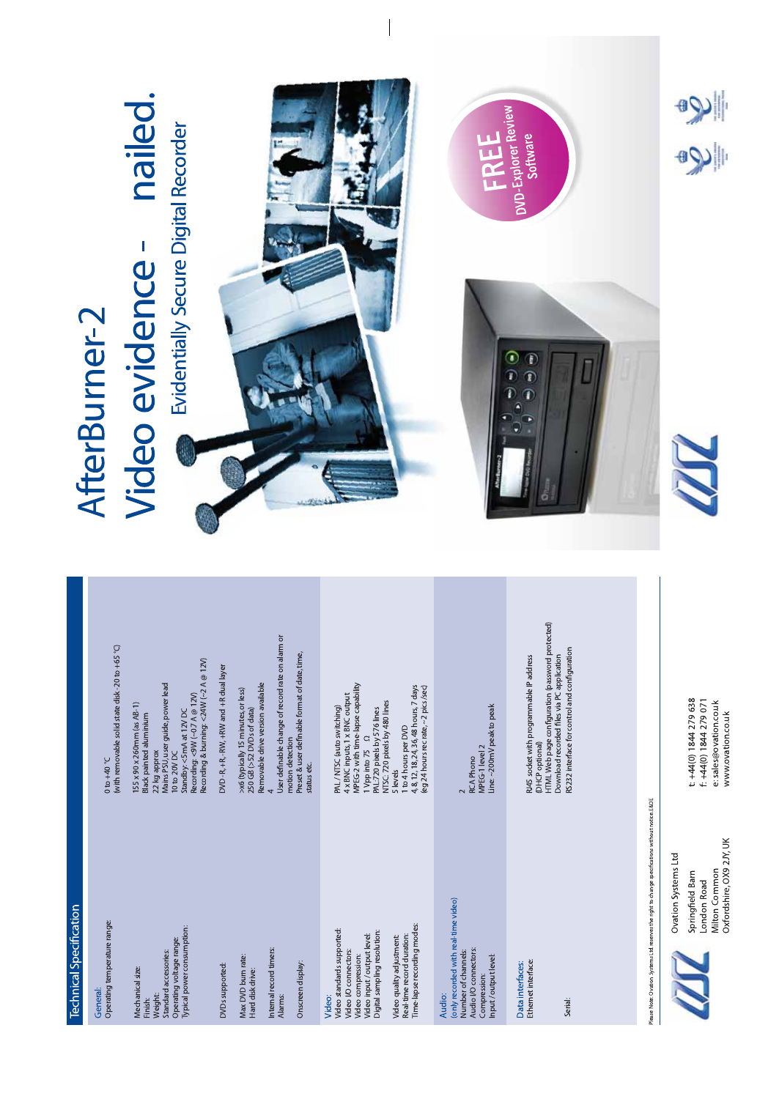| Technical Specification                                                                                                                          |                                                                                                                                                                                                                                  |                                                                          |  |
|--------------------------------------------------------------------------------------------------------------------------------------------------|----------------------------------------------------------------------------------------------------------------------------------------------------------------------------------------------------------------------------------|--------------------------------------------------------------------------|--|
| Operating temperature range:<br>General:                                                                                                         | (with removable solid state disk -20 to +65 °C)<br>$0.04 + 0.0$                                                                                                                                                                  | AfterBurner-2                                                            |  |
| Typical power consumption:<br>Operating voltage range:<br>Standard accessories:<br>Mechanical size:<br>Weight:<br>Finish:                        | Recording & burning: <24W (~2 A @ 12V)<br>Mains PSU, user guide, power lead<br>Recording: <9W (~0.7 A @ 12V)<br>155 x 90 x 260mm (as AB-1)<br>Standby: <5mA at 12V DC<br>Black painted aluminium<br>22 kg approx<br>10 to 20V DC | nailed.<br>Evidentially Secure Digital Recorder<br><b>Video evidence</b> |  |
| <b>DVDs</b> supported:                                                                                                                           | DVD - R, + R, - RW, + RW and + R dual layer                                                                                                                                                                                      |                                                                          |  |
| Max DVD burn rate:<br>Hard disk drive:                                                                                                           | Removable drive version available<br>>x6 (typically 15 minutes, or less)<br>250 GB (>52 DVDs of data)                                                                                                                            |                                                                          |  |
| Internal record timers:<br>Alarms:                                                                                                               | User definable change of record rate on alarm or<br>motion detection                                                                                                                                                             |                                                                          |  |
| Onscreen display:                                                                                                                                | Preset & user definable format of date, time,<br>status etc.                                                                                                                                                                     |                                                                          |  |
| Video standards supported:<br>Digital sampling resolution:<br>Video input/output level:<br>Video I/O connectors:<br>Video compression:<br>Video: | MPEG-2 with time-lapse capability<br>4 x BNC inputs, 1 x BNC output<br>PAL/NTSC (auto switching)<br>PAL:720 pixels by 576 lines<br>$\alpha$<br>1 Vpp into 75                                                                     |                                                                          |  |
| Time-lapse recording modes:<br>Real-time record duration:<br>Video quality adjustment:                                                           | 4, 8, 12, 18, 24, 36, 48 hours, 7 days<br>(eg 24 hours rec rate, ~2 pics /sec)<br>NTSC: 720 pixels by 480 lines<br>1 to 4 hours per DVD<br>5 levels                                                                              |                                                                          |  |
| (only recorded with real-time video)<br>Audio I/O connectors:<br>Number of channels:<br>Input/output level:<br>Compression:<br>Audio:            | Line: ~200mV peak to peak<br>MPEG-1 level 2<br><b>RCA Phono</b>                                                                                                                                                                  |                                                                          |  |
| Ethemet interface:<br>Data interfaces:                                                                                                           | HTML Web page configuration (password protected)<br>RJ45 socket with programmable IP address<br>(DHCP optional)                                                                                                                  | DVD-Explorer Review<br>Software<br>$\mathbf{r}$                          |  |
| Serial:                                                                                                                                          | RS232 interface for control and configuration<br>Download recorded files via PC application                                                                                                                                      |                                                                          |  |
|                                                                                                                                                  |                                                                                                                                                                                                                                  |                                                                          |  |
| Please Note: Ovation Systems Ltd. reserves the right to change specifications without notice. E&OE                                               |                                                                                                                                                                                                                                  |                                                                          |  |
| Ouation Surtame I td                                                                                                                             |                                                                                                                                                                                                                                  |                                                                          |  |

Ovation Systems Ltd<br>Springfield Barn<br>London Road<br>Milton Common<br>Miton Common LUL

t: +44(0) 1844 279 638<br>f: +44(0) 1844 279 071<br>e: sales@ovation.co.uk<br>www.ovation.co.uk

T